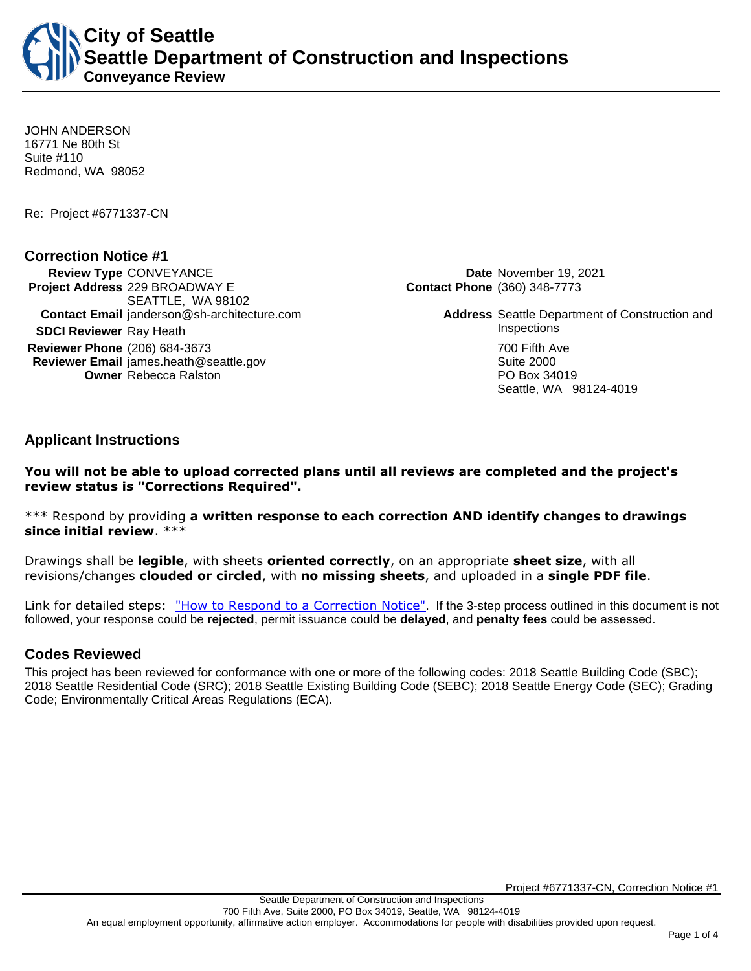**City of Seattle Seattle Department of Construction and Inspections Conveyance Review**

JOHN ANDERSON 16771 Ne 80th St Suite #110 Redmond, WA 98052

Re: Project #6771337-CN

### **Correction Notice #1**

**Review Type** CONVEYANCE **Date** November 19, 2021 **Project Address** 229 BROADWAY E SEATTLE, WA 98102 **Contact Email** janderson@sh-architecture.com **Address** Seattle Department of Construction and **SDCI Reviewer** Ray Heath **Inspections Reviewer Phone** (206) 684-3673 **700 Fifth Ave Reviewer Email** james.heath@seattle.gov **Suite 2000** Suite 2000 **Owner** Rebecca Ralston **PO Box 34019** 

**Contact Phone** (360) 348-7773

Seattle, WA 98124-4019

**Applicant Instructions**

**You will not be able to upload corrected plans until all reviews are completed and the project's review status is "Corrections Required".**

\*\*\* Respond by providing **a written response to each correction AND identify changes to drawings since initial review**. \*\*\*

Drawings shall be **legible**, with sheets **oriented correctly**, on an appropriate **sheet size**, with all revisions/changes **clouded or circled**, with **no missing sheets**, and uploaded in a **single PDF file**.

Link for detailed steps: ["How to Respond to a Correction Notice"](http://www.seattle.gov/documents/Departments/SDCI/Permits/HowtoRespondSDCICorrectionNotice.pdf). If the 3-step process outlined in this document is not followed, your response could be **rejected**, permit issuance could be **delayed**, and **penalty fees** could be assessed.

### **Codes Reviewed**

This project has been reviewed for conformance with one or more of the following codes: 2018 Seattle Building Code (SBC); 2018 Seattle Residential Code (SRC); 2018 Seattle Existing Building Code (SEBC); 2018 Seattle Energy Code (SEC); Grading Code; Environmentally Critical Areas Regulations (ECA).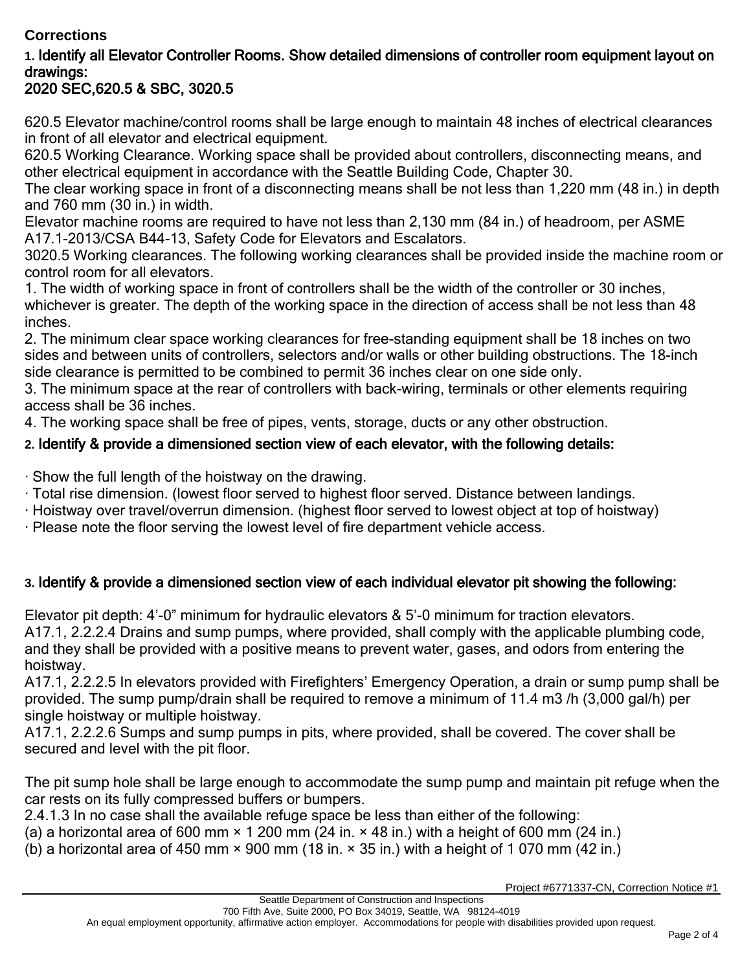## **Corrections**

# **1.** Identify all Elevator Controller Rooms. Show detailed dimensions of controller room equipment layout on drawings:

# 2020 SEC,620.5 & SBC, 3020.5

620.5 Elevator machine/control rooms shall be large enough to maintain 48 inches of electrical clearances in front of all elevator and electrical equipment.

620.5 Working Clearance. Working space shall be provided about controllers, disconnecting means, and other electrical equipment in accordance with the Seattle Building Code, Chapter 30.

The clear working space in front of a disconnecting means shall be not less than 1,220 mm (48 in.) in depth and 760 mm (30 in.) in width.

Elevator machine rooms are required to have not less than 2,130 mm (84 in.) of headroom, per ASME A17.1-2013/CSA B44-13, Safety Code for Elevators and Escalators.

3020.5 Working clearances. The following working clearances shall be provided inside the machine room or control room for all elevators.

1. The width of working space in front of controllers shall be the width of the controller or 30 inches, whichever is greater. The depth of the working space in the direction of access shall be not less than 48 inches.

2. The minimum clear space working clearances for free-standing equipment shall be 18 inches on two sides and between units of controllers, selectors and/or walls or other building obstructions. The 18-inch side clearance is permitted to be combined to permit 36 inches clear on one side only.

3. The minimum space at the rear of controllers with back-wiring, terminals or other elements requiring access shall be 36 inches.

4. The working space shall be free of pipes, vents, storage, ducts or any other obstruction.

### **2.** Identify & provide a dimensioned section view of each elevator, with the following details:

· Show the full length of the hoistway on the drawing.

- · Total rise dimension. (lowest floor served to highest floor served. Distance between landings.
- · Hoistway over travel/overrun dimension. (highest floor served to lowest object at top of hoistway)
- · Please note the floor serving the lowest level of fire department vehicle access.

## **3.** Identify & provide a dimensioned section view of each individual elevator pit showing the following:

Elevator pit depth: 4'-0" minimum for hydraulic elevators & 5'-0 minimum for traction elevators. A17.1, 2.2.2.4 Drains and sump pumps, where provided, shall comply with the applicable plumbing code, and they shall be provided with a positive means to prevent water, gases, and odors from entering the hoistway.

A17.1, 2.2.2.5 In elevators provided with Firefighters' Emergency Operation, a drain or sump pump shall be provided. The sump pump/drain shall be required to remove a minimum of 11.4 m3 /h (3,000 gal/h) per single hoistway or multiple hoistway.

A17.1, 2.2.2.6 Sumps and sump pumps in pits, where provided, shall be covered. The cover shall be secured and level with the pit floor.

The pit sump hole shall be large enough to accommodate the sump pump and maintain pit refuge when the car rests on its fully compressed buffers or bumpers.

2.4.1.3 In no case shall the available refuge space be less than either of the following:

(a) a horizontal area of 600 mm  $\times$  1 200 mm (24 in.  $\times$  48 in.) with a height of 600 mm (24 in.)

(b) a horizontal area of 450 mm  $\times$  900 mm (18 in.  $\times$  35 in.) with a height of 1 070 mm (42 in.)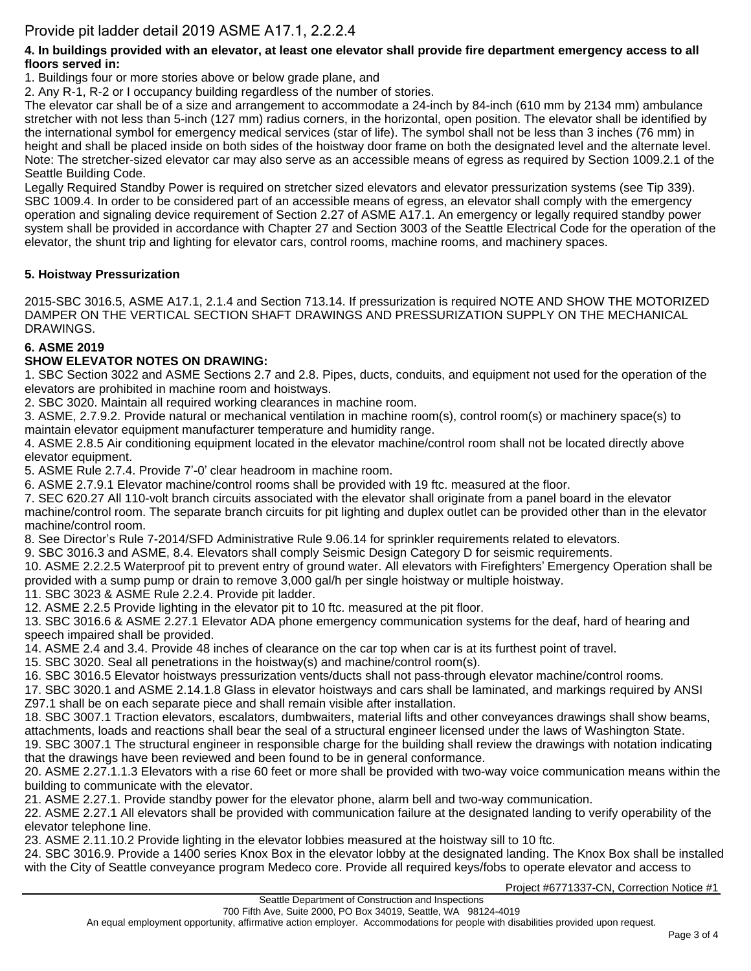#### **4. In buildings provided with an elevator, at least one elevator shall provide fire department emergency access to all floors served in:**

1. Buildings four or more stories above or below grade plane, and

2. Any R-1, R-2 or I occupancy building regardless of the number of stories.

The elevator car shall be of a size and arrangement to accommodate a 24-inch by 84-inch (610 mm by 2134 mm) ambulance stretcher with not less than 5-inch (127 mm) radius corners, in the horizontal, open position. The elevator shall be identified by the international symbol for emergency medical services (star of life). The symbol shall not be less than 3 inches (76 mm) in height and shall be placed inside on both sides of the hoistway door frame on both the designated level and the alternate level. Note: The stretcher-sized elevator car may also serve as an accessible means of egress as required by Section 1009.2.1 of the Seattle Building Code.

Legally Required Standby Power is required on stretcher sized elevators and elevator pressurization systems (see Tip 339). SBC 1009.4. In order to be considered part of an accessible means of egress, an elevator shall comply with the emergency operation and signaling device requirement of Section 2.27 of ASME A17.1. An emergency or legally required standby power system shall be provided in accordance with Chapter 27 and Section 3003 of the Seattle Electrical Code for the operation of the elevator, the shunt trip and lighting for elevator cars, control rooms, machine rooms, and machinery spaces.

### **5. Hoistway Pressurization**

2015-SBC 3016.5, ASME A17.1, 2.1.4 and Section 713.14. If pressurization is required NOTE AND SHOW THE MOTORIZED DAMPER ON THE VERTICAL SECTION SHAFT DRAWINGS AND PRESSURIZATION SUPPLY ON THE MECHANICAL DRAWINGS.

#### **6. ASME 2019**

#### **SHOW ELEVATOR NOTES ON DRAWING:**

1. SBC Section 3022 and ASME Sections 2.7 and 2.8. Pipes, ducts, conduits, and equipment not used for the operation of the elevators are prohibited in machine room and hoistways.

2. SBC 3020. Maintain all required working clearances in machine room.

3. ASME, 2.7.9.2. Provide natural or mechanical ventilation in machine room(s), control room(s) or machinery space(s) to maintain elevator equipment manufacturer temperature and humidity range.

4. ASME 2.8.5 Air conditioning equipment located in the elevator machine/control room shall not be located directly above elevator equipment.

5. ASME Rule 2.7.4. Provide 7'-0' clear headroom in machine room.

6. ASME 2.7.9.1 Elevator machine/control rooms shall be provided with 19 ftc. measured at the floor.

7. SEC 620.27 All 110-volt branch circuits associated with the elevator shall originate from a panel board in the elevator machine/control room. The separate branch circuits for pit lighting and duplex outlet can be provided other than in the elevator machine/control room.

8. See Director's Rule 7-2014/SFD Administrative Rule 9.06.14 for sprinkler requirements related to elevators.

9. SBC 3016.3 and ASME, 8.4. Elevators shall comply Seismic Design Category D for seismic requirements.

10. ASME 2.2.2.5 Waterproof pit to prevent entry of ground water. All elevators with Firefighters' Emergency Operation shall be provided with a sump pump or drain to remove 3,000 gal/h per single hoistway or multiple hoistway.

11. SBC 3023 & ASME Rule 2.2.4. Provide pit ladder.

12. ASME 2.2.5 Provide lighting in the elevator pit to 10 ftc. measured at the pit floor.

13. SBC 3016.6 & ASME 2.27.1 Elevator ADA phone emergency communication systems for the deaf, hard of hearing and speech impaired shall be provided.

14. ASME 2.4 and 3.4. Provide 48 inches of clearance on the car top when car is at its furthest point of travel.

15. SBC 3020. Seal all penetrations in the hoistway(s) and machine/control room(s).

16. SBC 3016.5 Elevator hoistways pressurization vents/ducts shall not pass-through elevator machine/control rooms.

17. SBC 3020.1 and ASME 2.14.1.8 Glass in elevator hoistways and cars shall be laminated, and markings required by ANSI Z97.1 shall be on each separate piece and shall remain visible after installation.

18. SBC 3007.1 Traction elevators, escalators, dumbwaiters, material lifts and other conveyances drawings shall show beams, attachments, loads and reactions shall bear the seal of a structural engineer licensed under the laws of Washington State.

19. SBC 3007.1 The structural engineer in responsible charge for the building shall review the drawings with notation indicating that the drawings have been reviewed and been found to be in general conformance.

20. ASME 2.27.1.1.3 Elevators with a rise 60 feet or more shall be provided with two-way voice communication means within the building to communicate with the elevator.

21. ASME 2.27.1. Provide standby power for the elevator phone, alarm bell and two-way communication.

22. ASME 2.27.1 All elevators shall be provided with communication failure at the designated landing to verify operability of the elevator telephone line.

23. ASME 2.11.10.2 Provide lighting in the elevator lobbies measured at the hoistway sill to 10 ftc.

24. SBC 3016.9. Provide a 1400 series Knox Box in the elevator lobby at the designated landing. The Knox Box shall be installed with the City of Seattle conveyance program Medeco core. Provide all required keys/fobs to operate elevator and access to

Project #6771337-CN, Correction Notice #1

An equal employment opportunity, affirmative action employer. Accommodations for people with disabilities provided upon request.